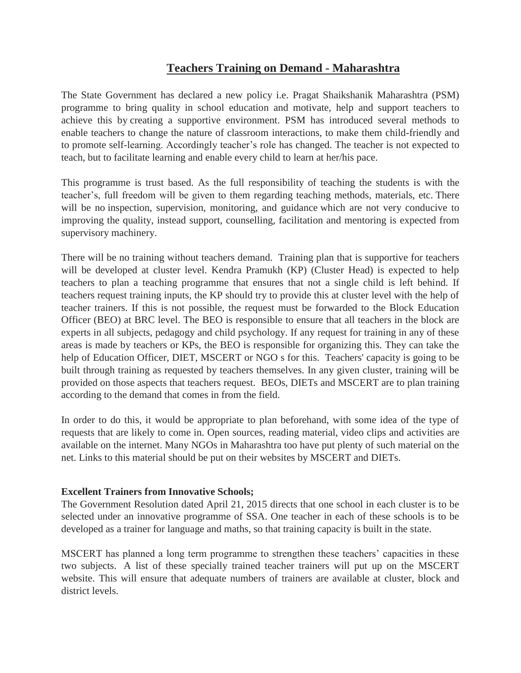## **Teachers Training on Demand - Maharashtra**

The State Government has declared a new policy i.e. Pragat Shaikshanik Maharashtra (PSM) programme to bring quality in school education and motivate, help and support teachers to achieve this by creating a supportive environment. PSM has introduced several methods to enable teachers to change the nature of classroom interactions, to make them child-friendly and to promote self-learning. Accordingly teacher's role has changed. The teacher is not expected to teach, but to facilitate learning and enable every child to learn at her/his pace.

This programme is trust based. As the full responsibility of teaching the students is with the teacher's, full freedom will be given to them regarding teaching methods, materials, etc. There will be no inspection, supervision, monitoring, and guidance which are not very conducive to improving the quality, instead support, counselling, facilitation and mentoring is expected from supervisory machinery.

There will be no training without teachers demand. Training plan that is supportive for teachers will be developed at cluster level. Kendra Pramukh (KP) (Cluster Head) is expected to help teachers to plan a teaching programme that ensures that not a single child is left behind. If teachers request training inputs, the KP should try to provide this at cluster level with the help of teacher trainers. If this is not possible, the request must be forwarded to the Block Education Officer (BEO) at BRC level. The BEO is responsible to ensure that all teachers in the block are experts in all subjects, pedagogy and child psychology. If any request for training in any of these areas is made by teachers or KPs, the BEO is responsible for organizing this. They can take the help of Education Officer, DIET, MSCERT or NGO s for this. Teachers' capacity is going to be built through training as requested by teachers themselves. In any given cluster, training will be provided on those aspects that teachers request. BEOs, DIETs and MSCERT are to plan training according to the demand that comes in from the field.

In order to do this, it would be appropriate to plan beforehand, with some idea of the type of requests that are likely to come in. Open sources, reading material, video clips and activities are available on the internet. Many NGOs in Maharashtra too have put plenty of such material on the net. Links to this material should be put on their websites by MSCERT and DIETs.

## **Excellent Trainers from Innovative Schools;**

The Government Resolution dated April 21, 2015 directs that one school in each cluster is to be selected under an innovative programme of SSA. One teacher in each of these schools is to be developed as a trainer for language and maths, so that training capacity is built in the state.

MSCERT has planned a long term programme to strengthen these teachers' capacities in these two subjects. A list of these specially trained teacher trainers will put up on the MSCERT website. This will ensure that adequate numbers of trainers are available at cluster, block and district levels.